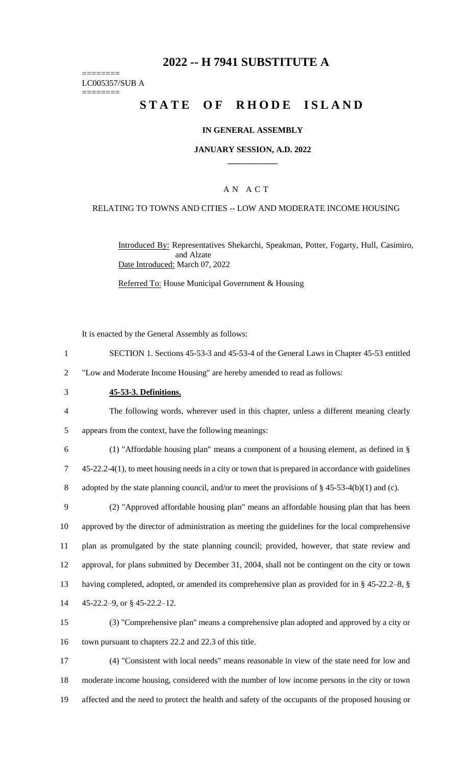# **2022 -- H 7941 SUBSTITUTE A**

======== LC005357/SUB A

========

# **STATE OF RHODE ISLAND**

### **IN GENERAL ASSEMBLY**

### **JANUARY SESSION, A.D. 2022 \_\_\_\_\_\_\_\_\_\_\_\_**

## A N A C T

### RELATING TO TOWNS AND CITIES -- LOW AND MODERATE INCOME HOUSING

Introduced By: Representatives Shekarchi, Speakman, Potter, Fogarty, Hull, Casimiro, and Alzate Date Introduced: March 07, 2022

Referred To: House Municipal Government & Housing

It is enacted by the General Assembly as follows:

1 SECTION 1. Sections 45-53-3 and 45-53-4 of the General Laws in Chapter 45-53 entitled

2 "Low and Moderate Income Housing" are hereby amended to read as follows:

#### 3 **45-53-3. Definitions.**

4 The following words, wherever used in this chapter, unless a different meaning clearly 5 appears from the context, have the following meanings:

6 (1) "Affordable housing plan" means a component of a housing element, as defined in § 7 45-22.2-4(1), to meet housing needs in a city or town that is prepared in accordance with guidelines 8 adopted by the state planning council, and/or to meet the provisions of § 45-53-4(b)(1) and (c).

 (2) "Approved affordable housing plan" means an affordable housing plan that has been approved by the director of administration as meeting the guidelines for the local comprehensive plan as promulgated by the state planning council; provided, however, that state review and approval, for plans submitted by December 31, 2004, shall not be contingent on the city or town having completed, adopted, or amended its comprehensive plan as provided for in § 45-22.2–8, § 45-22.2–9, or § 45-22.2–12.

15 (3) "Comprehensive plan" means a comprehensive plan adopted and approved by a city or 16 town pursuant to chapters 22.2 and 22.3 of this title.

17 (4) "Consistent with local needs" means reasonable in view of the state need for low and 18 moderate income housing, considered with the number of low income persons in the city or town 19 affected and the need to protect the health and safety of the occupants of the proposed housing or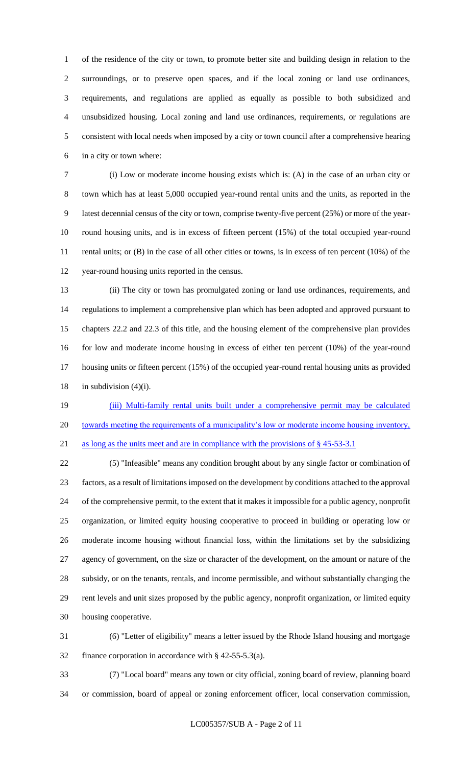of the residence of the city or town, to promote better site and building design in relation to the surroundings, or to preserve open spaces, and if the local zoning or land use ordinances, requirements, and regulations are applied as equally as possible to both subsidized and unsubsidized housing. Local zoning and land use ordinances, requirements, or regulations are consistent with local needs when imposed by a city or town council after a comprehensive hearing in a city or town where:

 (i) Low or moderate income housing exists which is: (A) in the case of an urban city or town which has at least 5,000 occupied year-round rental units and the units, as reported in the latest decennial census of the city or town, comprise twenty-five percent (25%) or more of the year- round housing units, and is in excess of fifteen percent (15%) of the total occupied year-round 11 rental units; or (B) in the case of all other cities or towns, is in excess of ten percent (10%) of the year-round housing units reported in the census.

 (ii) The city or town has promulgated zoning or land use ordinances, requirements, and regulations to implement a comprehensive plan which has been adopted and approved pursuant to chapters 22.2 and 22.3 of this title, and the housing element of the comprehensive plan provides for low and moderate income housing in excess of either ten percent (10%) of the year-round housing units or fifteen percent (15%) of the occupied year-round rental housing units as provided 18 in subdivision  $(4)(i)$ .

 (iii) Multi-family rental units built under a comprehensive permit may be calculated towards meeting the requirements of a municipality's low or moderate income housing inventory, as long as the units meet and are in compliance with the provisions of § 45-53-3.1

 (5) "Infeasible" means any condition brought about by any single factor or combination of factors, as a result of limitations imposed on the development by conditions attached to the approval of the comprehensive permit, to the extent that it makes it impossible for a public agency, nonprofit organization, or limited equity housing cooperative to proceed in building or operating low or moderate income housing without financial loss, within the limitations set by the subsidizing agency of government, on the size or character of the development, on the amount or nature of the subsidy, or on the tenants, rentals, and income permissible, and without substantially changing the rent levels and unit sizes proposed by the public agency, nonprofit organization, or limited equity housing cooperative.

 (6) "Letter of eligibility" means a letter issued by the Rhode Island housing and mortgage finance corporation in accordance with § 42-55-5.3(a).

 (7) "Local board" means any town or city official, zoning board of review, planning board or commission, board of appeal or zoning enforcement officer, local conservation commission,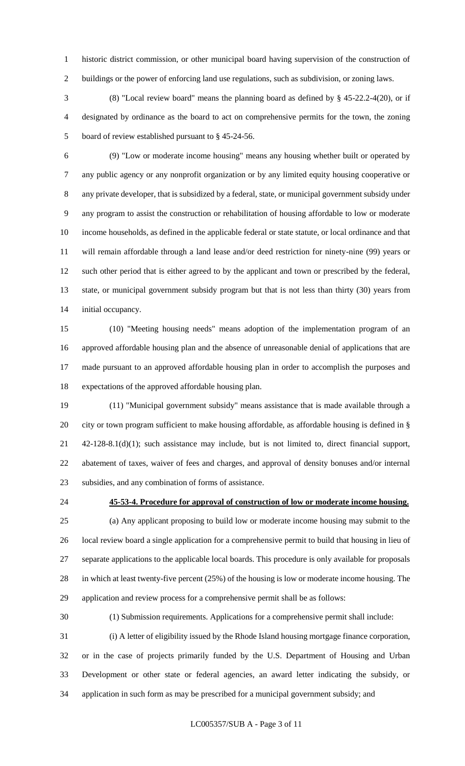historic district commission, or other municipal board having supervision of the construction of buildings or the power of enforcing land use regulations, such as subdivision, or zoning laws.

 (8) "Local review board" means the planning board as defined by § 45-22.2-4(20), or if designated by ordinance as the board to act on comprehensive permits for the town, the zoning board of review established pursuant to § 45-24-56.

 (9) "Low or moderate income housing" means any housing whether built or operated by any public agency or any nonprofit organization or by any limited equity housing cooperative or any private developer, that is subsidized by a federal, state, or municipal government subsidy under any program to assist the construction or rehabilitation of housing affordable to low or moderate income households, as defined in the applicable federal or state statute, or local ordinance and that will remain affordable through a land lease and/or deed restriction for ninety-nine (99) years or such other period that is either agreed to by the applicant and town or prescribed by the federal, state, or municipal government subsidy program but that is not less than thirty (30) years from initial occupancy.

 (10) "Meeting housing needs" means adoption of the implementation program of an approved affordable housing plan and the absence of unreasonable denial of applications that are made pursuant to an approved affordable housing plan in order to accomplish the purposes and expectations of the approved affordable housing plan.

 (11) "Municipal government subsidy" means assistance that is made available through a city or town program sufficient to make housing affordable, as affordable housing is defined in § 42-128-8.1(d)(1); such assistance may include, but is not limited to, direct financial support, abatement of taxes, waiver of fees and charges, and approval of density bonuses and/or internal subsidies, and any combination of forms of assistance.

# **45-53-4. Procedure for approval of construction of low or moderate income housing.**

 (a) Any applicant proposing to build low or moderate income housing may submit to the local review board a single application for a comprehensive permit to build that housing in lieu of separate applications to the applicable local boards. This procedure is only available for proposals in which at least twenty-five percent (25%) of the housing is low or moderate income housing. The application and review process for a comprehensive permit shall be as follows:

(1) Submission requirements. Applications for a comprehensive permit shall include:

 (i) A letter of eligibility issued by the Rhode Island housing mortgage finance corporation, or in the case of projects primarily funded by the U.S. Department of Housing and Urban Development or other state or federal agencies, an award letter indicating the subsidy, or application in such form as may be prescribed for a municipal government subsidy; and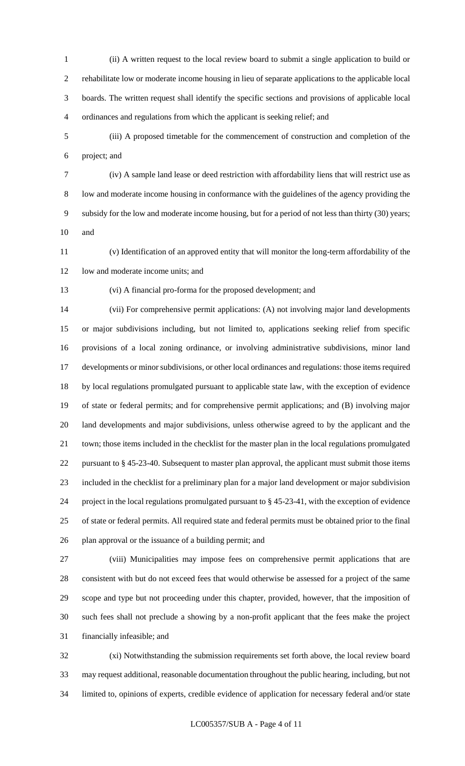- (ii) A written request to the local review board to submit a single application to build or rehabilitate low or moderate income housing in lieu of separate applications to the applicable local boards. The written request shall identify the specific sections and provisions of applicable local ordinances and regulations from which the applicant is seeking relief; and
- (iii) A proposed timetable for the commencement of construction and completion of the project; and
- (iv) A sample land lease or deed restriction with affordability liens that will restrict use as low and moderate income housing in conformance with the guidelines of the agency providing the subsidy for the low and moderate income housing, but for a period of not less than thirty (30) years; and
- (v) Identification of an approved entity that will monitor the long-term affordability of the 12 low and moderate income units; and
- 

(vi) A financial pro-forma for the proposed development; and

 (vii) For comprehensive permit applications: (A) not involving major land developments or major subdivisions including, but not limited to, applications seeking relief from specific provisions of a local zoning ordinance, or involving administrative subdivisions, minor land developments or minor subdivisions, or other local ordinances and regulations: those items required by local regulations promulgated pursuant to applicable state law, with the exception of evidence of state or federal permits; and for comprehensive permit applications; and (B) involving major land developments and major subdivisions, unless otherwise agreed to by the applicant and the town; those items included in the checklist for the master plan in the local regulations promulgated pursuant to § 45-23-40. Subsequent to master plan approval, the applicant must submit those items included in the checklist for a preliminary plan for a major land development or major subdivision project in the local regulations promulgated pursuant to § 45-23-41, with the exception of evidence of state or federal permits. All required state and federal permits must be obtained prior to the final plan approval or the issuance of a building permit; and

 (viii) Municipalities may impose fees on comprehensive permit applications that are consistent with but do not exceed fees that would otherwise be assessed for a project of the same scope and type but not proceeding under this chapter, provided, however, that the imposition of such fees shall not preclude a showing by a non-profit applicant that the fees make the project financially infeasible; and

 (xi) Notwithstanding the submission requirements set forth above, the local review board may request additional, reasonable documentation throughout the public hearing, including, but not limited to, opinions of experts, credible evidence of application for necessary federal and/or state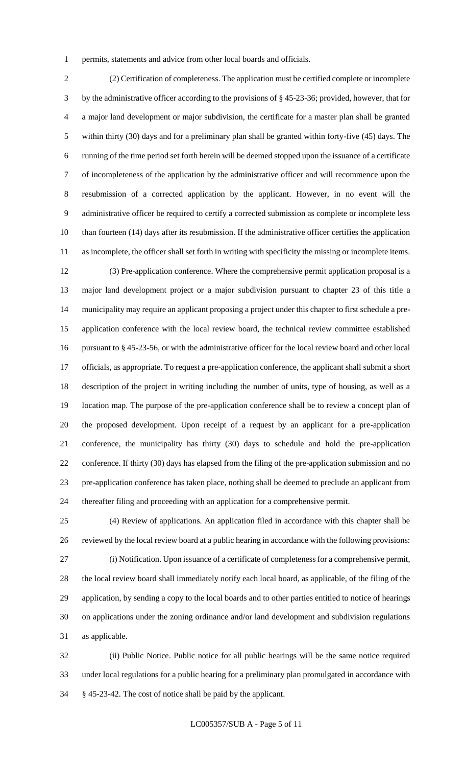permits, statements and advice from other local boards and officials.

 (2) Certification of completeness. The application must be certified complete or incomplete by the administrative officer according to the provisions of § 45-23-36; provided, however, that for a major land development or major subdivision, the certificate for a master plan shall be granted within thirty (30) days and for a preliminary plan shall be granted within forty-five (45) days. The running of the time period set forth herein will be deemed stopped upon the issuance of a certificate of incompleteness of the application by the administrative officer and will recommence upon the resubmission of a corrected application by the applicant. However, in no event will the administrative officer be required to certify a corrected submission as complete or incomplete less than fourteen (14) days after its resubmission. If the administrative officer certifies the application as incomplete, the officer shall set forth in writing with specificity the missing or incomplete items.

 (3) Pre-application conference. Where the comprehensive permit application proposal is a major land development project or a major subdivision pursuant to chapter 23 of this title a municipality may require an applicant proposing a project under this chapter to first schedule a pre- application conference with the local review board, the technical review committee established pursuant to § 45-23-56, or with the administrative officer for the local review board and other local officials, as appropriate. To request a pre-application conference, the applicant shall submit a short description of the project in writing including the number of units, type of housing, as well as a location map. The purpose of the pre-application conference shall be to review a concept plan of the proposed development. Upon receipt of a request by an applicant for a pre-application conference, the municipality has thirty (30) days to schedule and hold the pre-application conference. If thirty (30) days has elapsed from the filing of the pre-application submission and no pre-application conference has taken place, nothing shall be deemed to preclude an applicant from thereafter filing and proceeding with an application for a comprehensive permit.

 (4) Review of applications. An application filed in accordance with this chapter shall be reviewed by the local review board at a public hearing in accordance with the following provisions: (i) Notification. Upon issuance of a certificate of completeness for a comprehensive permit, the local review board shall immediately notify each local board, as applicable, of the filing of the application, by sending a copy to the local boards and to other parties entitled to notice of hearings on applications under the zoning ordinance and/or land development and subdivision regulations as applicable.

 (ii) Public Notice. Public notice for all public hearings will be the same notice required under local regulations for a public hearing for a preliminary plan promulgated in accordance with § 45-23-42. The cost of notice shall be paid by the applicant.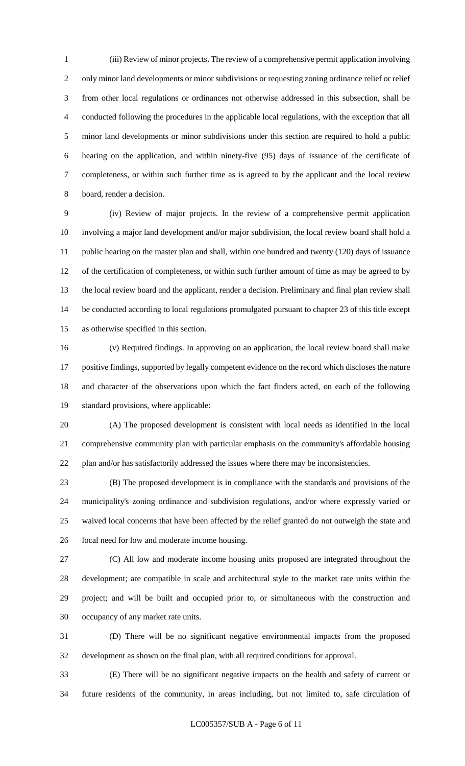(iii) Review of minor projects. The review of a comprehensive permit application involving only minor land developments or minor subdivisions or requesting zoning ordinance relief or relief from other local regulations or ordinances not otherwise addressed in this subsection, shall be conducted following the procedures in the applicable local regulations, with the exception that all minor land developments or minor subdivisions under this section are required to hold a public hearing on the application, and within ninety-five (95) days of issuance of the certificate of completeness, or within such further time as is agreed to by the applicant and the local review board, render a decision.

 (iv) Review of major projects. In the review of a comprehensive permit application involving a major land development and/or major subdivision, the local review board shall hold a public hearing on the master plan and shall, within one hundred and twenty (120) days of issuance of the certification of completeness, or within such further amount of time as may be agreed to by the local review board and the applicant, render a decision. Preliminary and final plan review shall be conducted according to local regulations promulgated pursuant to chapter 23 of this title except as otherwise specified in this section.

 (v) Required findings. In approving on an application, the local review board shall make positive findings, supported by legally competent evidence on the record which discloses the nature and character of the observations upon which the fact finders acted, on each of the following standard provisions, where applicable:

 (A) The proposed development is consistent with local needs as identified in the local comprehensive community plan with particular emphasis on the community's affordable housing plan and/or has satisfactorily addressed the issues where there may be inconsistencies.

 (B) The proposed development is in compliance with the standards and provisions of the municipality's zoning ordinance and subdivision regulations, and/or where expressly varied or waived local concerns that have been affected by the relief granted do not outweigh the state and local need for low and moderate income housing.

 (C) All low and moderate income housing units proposed are integrated throughout the development; are compatible in scale and architectural style to the market rate units within the project; and will be built and occupied prior to, or simultaneous with the construction and occupancy of any market rate units.

 (D) There will be no significant negative environmental impacts from the proposed development as shown on the final plan, with all required conditions for approval.

 (E) There will be no significant negative impacts on the health and safety of current or future residents of the community, in areas including, but not limited to, safe circulation of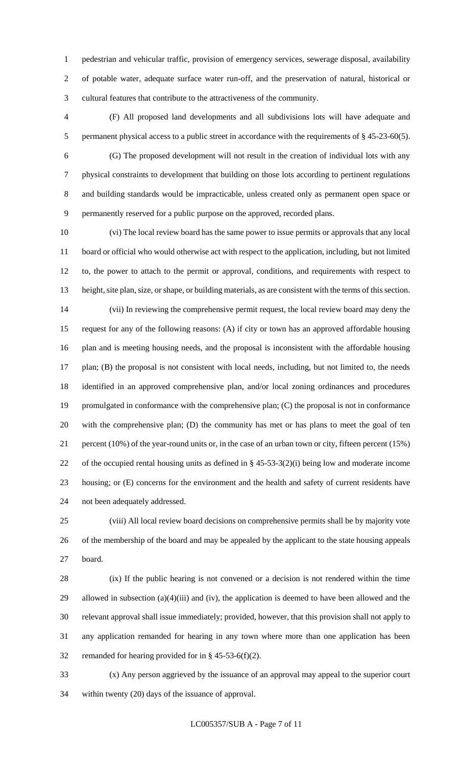pedestrian and vehicular traffic, provision of emergency services, sewerage disposal, availability of potable water, adequate surface water run-off, and the preservation of natural, historical or cultural features that contribute to the attractiveness of the community.

 (F) All proposed land developments and all subdivisions lots will have adequate and 5 permanent physical access to a public street in accordance with the requirements of § 45-23-60(5).

 (G) The proposed development will not result in the creation of individual lots with any physical constraints to development that building on those lots according to pertinent regulations and building standards would be impracticable, unless created only as permanent open space or permanently reserved for a public purpose on the approved, recorded plans.

 (vi) The local review board has the same power to issue permits or approvals that any local board or official who would otherwise act with respect to the application, including, but not limited to, the power to attach to the permit or approval, conditions, and requirements with respect to height, site plan, size, or shape, or building materials, as are consistent with the terms of this section. (vii) In reviewing the comprehensive permit request, the local review board may deny the request for any of the following reasons: (A) if city or town has an approved affordable housing plan and is meeting housing needs, and the proposal is inconsistent with the affordable housing plan; (B) the proposal is not consistent with local needs, including, but not limited to, the needs identified in an approved comprehensive plan, and/or local zoning ordinances and procedures promulgated in conformance with the comprehensive plan; (C) the proposal is not in conformance with the comprehensive plan; (D) the community has met or has plans to meet the goal of ten percent (10%) of the year-round units or, in the case of an urban town or city, fifteen percent (15%) of the occupied rental housing units as defined in § 45-53-3(2)(i) being low and moderate income housing; or (E) concerns for the environment and the health and safety of current residents have not been adequately addressed.

 (viii) All local review board decisions on comprehensive permits shall be by majority vote of the membership of the board and may be appealed by the applicant to the state housing appeals board.

 (ix) If the public hearing is not convened or a decision is not rendered within the time allowed in subsection (a)(4)(iii) and (iv), the application is deemed to have been allowed and the relevant approval shall issue immediately; provided, however, that this provision shall not apply to any application remanded for hearing in any town where more than one application has been remanded for hearing provided for in § 45-53-6(f)(2).

 (x) Any person aggrieved by the issuance of an approval may appeal to the superior court within twenty (20) days of the issuance of approval.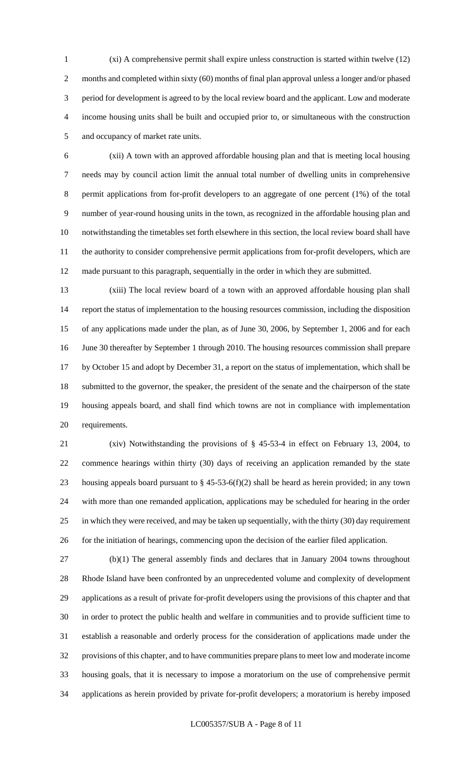(xi) A comprehensive permit shall expire unless construction is started within twelve (12) 2 months and completed within sixty (60) months of final plan approval unless a longer and/or phased period for development is agreed to by the local review board and the applicant. Low and moderate income housing units shall be built and occupied prior to, or simultaneous with the construction and occupancy of market rate units.

 (xii) A town with an approved affordable housing plan and that is meeting local housing needs may by council action limit the annual total number of dwelling units in comprehensive permit applications from for-profit developers to an aggregate of one percent (1%) of the total number of year-round housing units in the town, as recognized in the affordable housing plan and notwithstanding the timetables set forth elsewhere in this section, the local review board shall have the authority to consider comprehensive permit applications from for-profit developers, which are made pursuant to this paragraph, sequentially in the order in which they are submitted.

 (xiii) The local review board of a town with an approved affordable housing plan shall report the status of implementation to the housing resources commission, including the disposition of any applications made under the plan, as of June 30, 2006, by September 1, 2006 and for each June 30 thereafter by September 1 through 2010. The housing resources commission shall prepare by October 15 and adopt by December 31, a report on the status of implementation, which shall be submitted to the governor, the speaker, the president of the senate and the chairperson of the state housing appeals board, and shall find which towns are not in compliance with implementation requirements.

 (xiv) Notwithstanding the provisions of § 45-53-4 in effect on February 13, 2004, to commence hearings within thirty (30) days of receiving an application remanded by the state 23 housing appeals board pursuant to  $\S$  45-53-6(f)(2) shall be heard as herein provided; in any town with more than one remanded application, applications may be scheduled for hearing in the order in which they were received, and may be taken up sequentially, with the thirty (30) day requirement 26 for the initiation of hearings, commencing upon the decision of the earlier filed application.

 (b)(1) The general assembly finds and declares that in January 2004 towns throughout Rhode Island have been confronted by an unprecedented volume and complexity of development applications as a result of private for-profit developers using the provisions of this chapter and that in order to protect the public health and welfare in communities and to provide sufficient time to establish a reasonable and orderly process for the consideration of applications made under the provisions of this chapter, and to have communities prepare plans to meet low and moderate income housing goals, that it is necessary to impose a moratorium on the use of comprehensive permit applications as herein provided by private for-profit developers; a moratorium is hereby imposed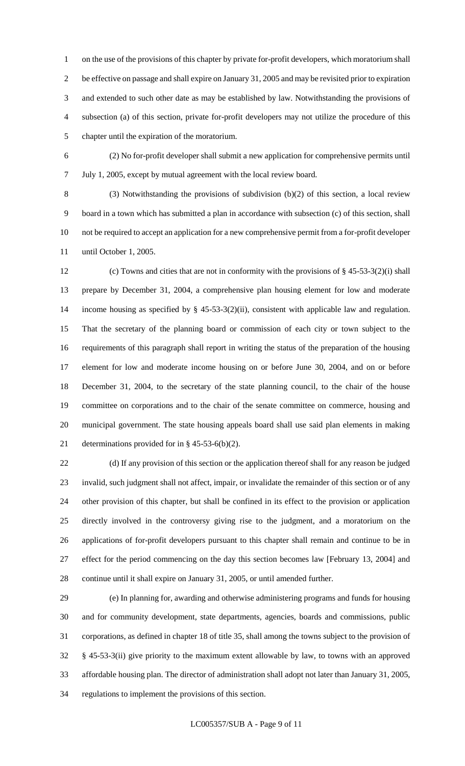on the use of the provisions of this chapter by private for-profit developers, which moratorium shall be effective on passage and shall expire on January 31, 2005 and may be revisited prior to expiration and extended to such other date as may be established by law. Notwithstanding the provisions of subsection (a) of this section, private for-profit developers may not utilize the procedure of this chapter until the expiration of the moratorium.

 (2) No for-profit developer shall submit a new application for comprehensive permits until July 1, 2005, except by mutual agreement with the local review board.

 (3) Notwithstanding the provisions of subdivision (b)(2) of this section, a local review board in a town which has submitted a plan in accordance with subsection (c) of this section, shall not be required to accept an application for a new comprehensive permit from a for-profit developer until October 1, 2005.

 (c) Towns and cities that are not in conformity with the provisions of § 45-53-3(2)(i) shall prepare by December 31, 2004, a comprehensive plan housing element for low and moderate 14 income housing as specified by § 45-53-3(2)(ii), consistent with applicable law and regulation. That the secretary of the planning board or commission of each city or town subject to the requirements of this paragraph shall report in writing the status of the preparation of the housing element for low and moderate income housing on or before June 30, 2004, and on or before December 31, 2004, to the secretary of the state planning council, to the chair of the house committee on corporations and to the chair of the senate committee on commerce, housing and municipal government. The state housing appeals board shall use said plan elements in making determinations provided for in § 45-53-6(b)(2).

 (d) If any provision of this section or the application thereof shall for any reason be judged invalid, such judgment shall not affect, impair, or invalidate the remainder of this section or of any other provision of this chapter, but shall be confined in its effect to the provision or application directly involved in the controversy giving rise to the judgment, and a moratorium on the applications of for-profit developers pursuant to this chapter shall remain and continue to be in effect for the period commencing on the day this section becomes law [February 13, 2004] and continue until it shall expire on January 31, 2005, or until amended further.

 (e) In planning for, awarding and otherwise administering programs and funds for housing and for community development, state departments, agencies, boards and commissions, public corporations, as defined in chapter 18 of title 35, shall among the towns subject to the provision of § 45-53-3(ii) give priority to the maximum extent allowable by law, to towns with an approved affordable housing plan. The director of administration shall adopt not later than January 31, 2005, regulations to implement the provisions of this section.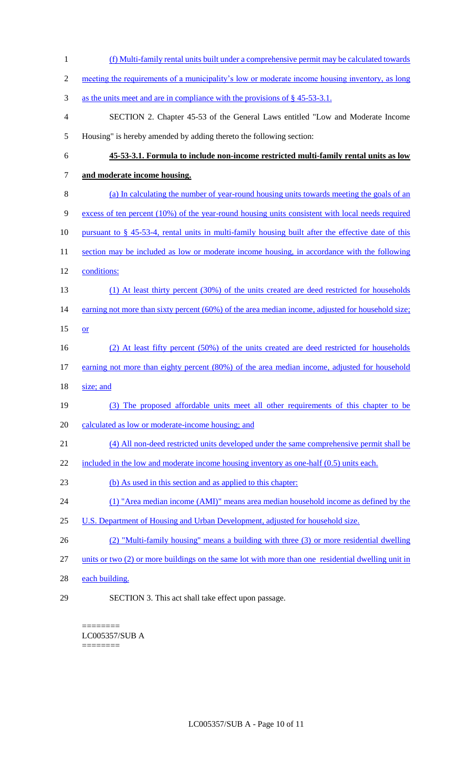(f) Multi-family rental units built under a comprehensive permit may be calculated towards 2 meeting the requirements of a municipality's low or moderate income housing inventory, as long 3 as the units meet and are in compliance with the provisions of § 45-53-3.1. SECTION 2. Chapter 45-53 of the General Laws entitled "Low and Moderate Income Housing" is hereby amended by adding thereto the following section: **45-53-3.1. Formula to include non-income restricted multi-family rental units as low and moderate income housing.** (a) In calculating the number of year-round housing units towards meeting the goals of an excess of ten percent (10%) of the year-round housing units consistent with local needs required 10 pursuant to § 45-53-4, rental units in multi-family housing built after the effective date of this 11 section may be included as low or moderate income housing, in accordance with the following conditions: (1) At least thirty percent (30%) of the units created are deed restricted for households 14 earning not more than sixty percent (60%) of the area median income, adjusted for household size; or (2) At least fifty percent (50%) of the units created are deed restricted for households 17 earning not more than eighty percent (80%) of the area median income, adjusted for household size; and (3) The proposed affordable units meet all other requirements of this chapter to be calculated as low or moderate-income housing; and (4) All non-deed restricted units developed under the same comprehensive permit shall be 22 included in the low and moderate income housing inventory as one-half (0.5) units each. (b) As used in this section and as applied to this chapter: (1) "Area median income (AMI)" means area median household income as defined by the 25 U.S. Department of Housing and Urban Development, adjusted for household size. (2) "Multi-family housing'' means a building with three (3) or more residential dwelling units or two (2) or more buildings on the same lot with more than one residential dwelling unit in each building. SECTION 3. This act shall take effect upon passage.

======== LC005357/SUB A ========